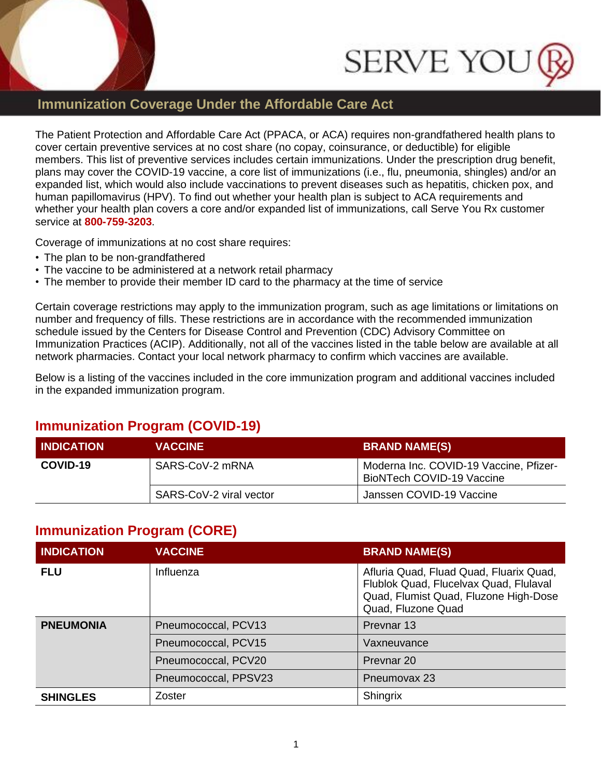



## **Immunization Coverage Under the Affordable Care Act**

The Patient Protection and Affordable Care Act (PPACA, or ACA) requires non-grandfathered health plans to cover certain preventive services at no cost share (no copay, coinsurance, or deductible) for eligible members. This list of preventive services includes certain immunizations. Under the prescription drug benefit, plans may cover the COVID-19 vaccine, a core list of immunizations (i.e., flu, pneumonia, shingles) and/or an expanded list, which would also include vaccinations to prevent diseases such as hepatitis, chicken pox, and human papillomavirus (HPV). To find out whether your health plan is subject to ACA requirements and whether your health plan covers a core and/or expanded list of immunizations, call Serve You Rx customer service at **800-759-3203**.

Coverage of immunizations at no cost share requires:

- The plan to be non-grandfathered
- The vaccine to be administered at a network retail pharmacy
- The member to provide their member ID card to the pharmacy at the time of service

Certain coverage restrictions may apply to the immunization program, such as age limitations or limitations on number and frequency of fills. These restrictions are in accordance with the recommended immunization schedule issued by the Centers for Disease Control and Prevention (CDC) Advisory Committee on Immunization Practices (ACIP). Additionally, not all of the vaccines listed in the table below are available at all network pharmacies. Contact your local network pharmacy to confirm which vaccines are available.

Below is a listing of the vaccines included in the core immunization program and additional vaccines included in the expanded immunization program.

### **Immunization Program (COVID-19)**

| <b>I INDICATION</b> | <b>VACCINE</b>          | <b>BRAND NAME(S)</b>                                                |
|---------------------|-------------------------|---------------------------------------------------------------------|
| COVID-19            | SARS-CoV-2 mRNA         | Moderna Inc. COVID-19 Vaccine, Pfizer-<br>BioNTech COVID-19 Vaccine |
|                     | SARS-CoV-2 viral vector | Janssen COVID-19 Vaccine                                            |

### **Immunization Program (CORE)**

| <b>INDICATION</b> | <b>VACCINE</b>       | <b>BRAND NAME(S)</b>                                                                                                                             |
|-------------------|----------------------|--------------------------------------------------------------------------------------------------------------------------------------------------|
| <b>FLU</b>        | Influenza            | Afluria Quad, Fluad Quad, Fluarix Quad,<br>Flublok Quad, Flucelvax Quad, Flulaval<br>Quad, Flumist Quad, Fluzone High-Dose<br>Quad, Fluzone Quad |
| <b>PNEUMONIA</b>  | Pneumococcal, PCV13  | Prevnar 13                                                                                                                                       |
|                   | Pneumococcal, PCV15  | Vaxneuvance                                                                                                                                      |
|                   | Pneumococcal, PCV20  | Prevnar 20                                                                                                                                       |
|                   | Pneumococcal, PPSV23 | Pneumovax 23                                                                                                                                     |
| <b>SHINGLES</b>   | Zoster               | Shingrix                                                                                                                                         |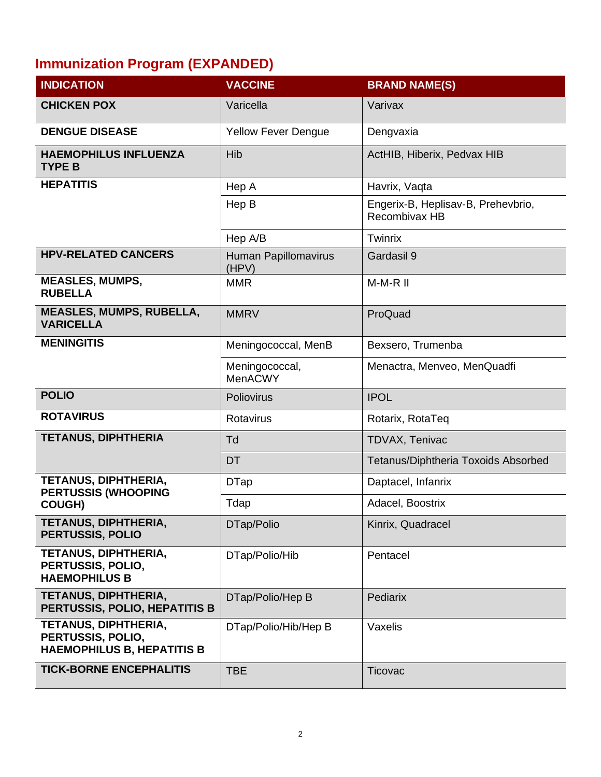# **Immunization Program (EXPANDED)**

| <b>INDICATION</b>                                                              | <b>VACCINE</b>                | <b>BRAND NAME(S)</b>                                |
|--------------------------------------------------------------------------------|-------------------------------|-----------------------------------------------------|
| <b>CHICKEN POX</b>                                                             | Varicella                     | Varivax                                             |
| <b>DENGUE DISEASE</b>                                                          | <b>Yellow Fever Dengue</b>    | Dengvaxia                                           |
| <b>HAEMOPHILUS INFLUENZA</b><br><b>TYPE B</b>                                  | Hib                           | ActHIB, Hiberix, Pedvax HIB                         |
| <b>HEPATITIS</b>                                                               | Hep A                         | Havrix, Vaqta                                       |
|                                                                                | Hep B                         | Engerix-B, Heplisav-B, Prehevbrio,<br>Recombivax HB |
|                                                                                | Hep A/B                       | Twinrix                                             |
| <b>HPV-RELATED CANCERS</b>                                                     | Human Papillomavirus<br>(HPV) | Gardasil 9                                          |
| <b>MEASLES, MUMPS,</b><br><b>RUBELLA</b>                                       | <b>MMR</b>                    | M-M-R II                                            |
| <b>MEASLES, MUMPS, RUBELLA,</b><br><b>VARICELLA</b>                            | <b>MMRV</b>                   | ProQuad                                             |
| <b>MENINGITIS</b>                                                              | Meningococcal, MenB           | Bexsero, Trumenba                                   |
|                                                                                | Meningococcal,<br>MenACWY     | Menactra, Menveo, MenQuadfi                         |
| <b>POLIO</b>                                                                   | Poliovirus                    | <b>IPOL</b>                                         |
| <b>ROTAVIRUS</b>                                                               | Rotavirus                     | Rotarix, RotaTeq                                    |
| <b>TETANUS, DIPHTHERIA</b>                                                     | Td                            | TDVAX, Tenivac                                      |
|                                                                                | <b>DT</b>                     | Tetanus/Diphtheria Toxoids Absorbed                 |
| TETANUS, DIPHTHERIA,<br><b>PERTUSSIS (WHOOPING</b>                             | <b>DTap</b>                   | Daptacel, Infanrix                                  |
| <b>COUGH)</b>                                                                  | Tdap                          | Adacel, Boostrix                                    |
| TETANUS, DIPHTHERIA,<br>PERTUSSIS, POLIO                                       | DTap/Polio                    | Kinrix, Quadracel                                   |
| TETANUS, DIPHTHERIA,<br>PERTUSSIS, POLIO,<br><b>HAEMOPHILUS B</b>              | DTap/Polio/Hib                | Pentacel                                            |
| TETANUS, DIPHTHERIA,<br>PERTUSSIS, POLIO, HEPATITIS B                          | DTap/Polio/Hep B              | Pediarix                                            |
| TETANUS, DIPHTHERIA,<br>PERTUSSIS, POLIO,<br><b>HAEMOPHILUS B, HEPATITIS B</b> | DTap/Polio/Hib/Hep B          | Vaxelis                                             |
| <b>TICK-BORNE ENCEPHALITIS</b>                                                 | <b>TBE</b>                    | Ticovac                                             |